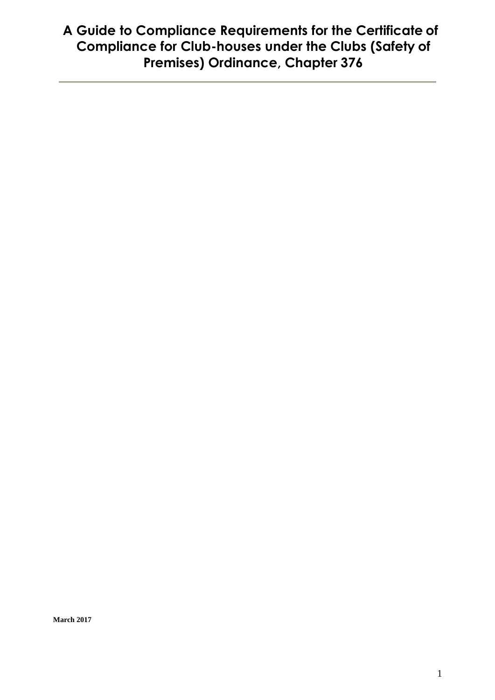# **A Guide to Compliance Requirements for the Certificate of Compliance for Club-houses under the Clubs (Safety of Premises) Ordinance, Chapter 376**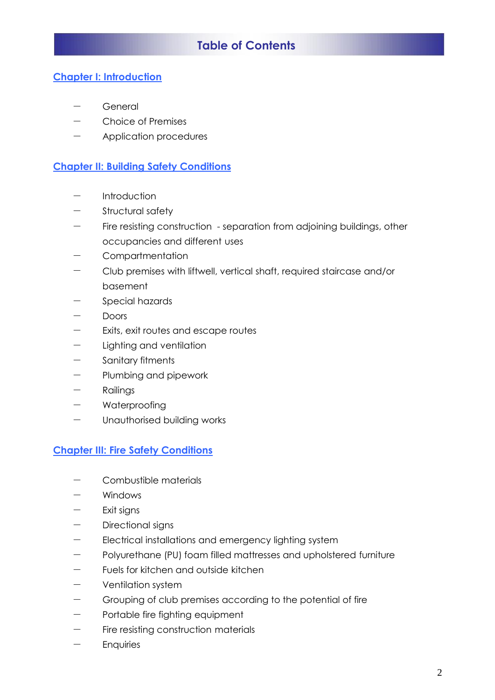# **Table of Contents**

#### **Chapter I: Introduction**

- General
- Choice of Premises
- Application procedures

#### **Chapter II: Building Safety Conditions**

- Introduction
- Structural safety
- Fire resisting construction separation from adjoining buildings, other occupancies and different uses
- **Compartmentation**
- Club premises with liftwell, vertical shaft, required staircase and/or basement
- Special hazards
- **Doors**
- $-$  Exits, exit routes and escape routes
- Lighting and ventilation
- Sanitary fitments
- $-$  Plumbing and pipework
- Railings
- Waterproofing
- Unauthorised building works

#### **Chapter III: Fire Safety Conditions**

- $-$  Combustible materials
- **Windows**
- Exit signs
- Directional signs
- $-$  Electrical installations and emergency lighting system
- Polyurethane (PU) foam filled mattresses and upholstered furniture
- Fuels for kitchen and outside kitchen
- Ventilation system
- Grouping of club premises according to the potential of fire
- Portable fire fighting equipment
- Fire resisting construction materials
- **Enquiries**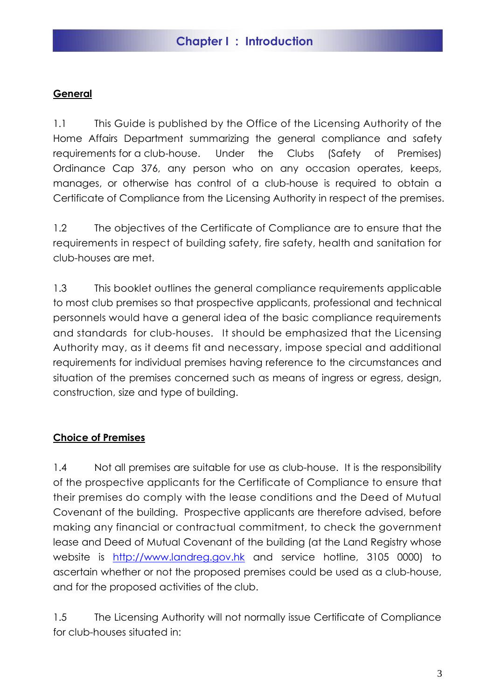#### **General**

1.1 This Guide is published by the Office of the Licensing Authority of the Home Affairs Department summarizing the general compliance and safety requirements for a club-house. Under the Clubs (Safety of Premises) Ordinance Cap 376, any person who on any occasion operates, keeps, manages, or otherwise has control of a club-house is required to obtain a Certificate of Compliance from the Licensing Authority in respect of the premises.

1.2 The objectives of the Certificate of Compliance are to ensure that the requirements in respect of building safety, fire safety, health and sanitation for club-houses are met.

1.3 This booklet outlines the general compliance requirements applicable to most club premises so that prospective applicants, professional and technical personnels would have a general idea of the basic compliance requirements and standards for club-houses. It should be emphasized that the Licensing Authority may, as it deems fit and necessary, impose special and additional requirements for individual premises having reference to the circumstances and situation of the premises concerned such as means of ingress or egress, design, construction, size and type of building.

#### **Choice of Premises**

1.4 Not all premises are suitable for use as club-house. It is the responsibility of the prospective applicants for the Certificate of Compliance to ensure that their premises do comply with the lease conditions and the Deed of Mutual Covenant of the building. Prospective applicants are therefore advised, before making any financial or contractual commitment, to check the government lease and Deed of Mutual Covenant of the building (at the Land Registry whose website is [http://www.landreg.gov.hk](http://www.landreg.gov.hk/) and service hotline, 3105 0000) to ascertain whether or not the proposed premises could be used as a club-house, and for the proposed activities of the club.

1.5 The Licensing Authority will not normally issue Certificate of Compliance for club-houses situated in: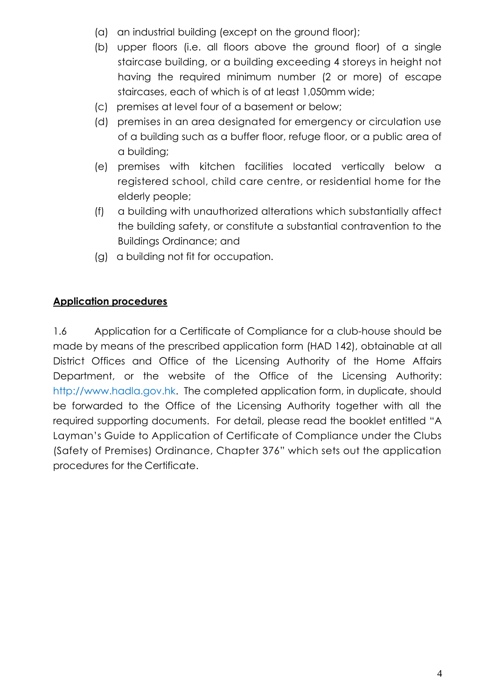- (a) an industrial building (except on the ground floor);
- (b) upper floors (i.e. all floors above the ground floor) of a single staircase building, or a building exceeding 4 storeys in height not having the required minimum number (2 or more) of escape staircases, each of which is of at least 1,050mm wide;
- (c) premises at level four of a basement or below;
- (d) premises in an area designated for emergency or circulation use of a building such as a buffer floor, refuge floor, or a public area of a building;
- (e) premises with kitchen facilities located vertically below a registered school, child care centre, or residential home for the elderly people;
- (f) a building with unauthorized alterations which substantially affect the building safety, or constitute a substantial contravention to the Buildings Ordinance; and
- (g) a building not fit for occupation.

#### **Application procedures**

1.6 Application for a Certificate of Compliance for a club-house should be made by means of the prescribed application form (HAD 142), obtainable at all District Offices and Office of the Licensing Authority of the Home Affairs Department, or the website of the Office of the Licensing Authority: http://www.hadla.gov.hk. The completed application form, in duplicate, should be forwarded to the Office of the Licensing Authority together with all the required supporting documents. For detail, please read the booklet entitled "A Layman's Guide to Application of Certificate of Compliance under the Clubs (Safety of Premises) Ordinance, Chapter 376" which sets out the application procedures for the Certificate.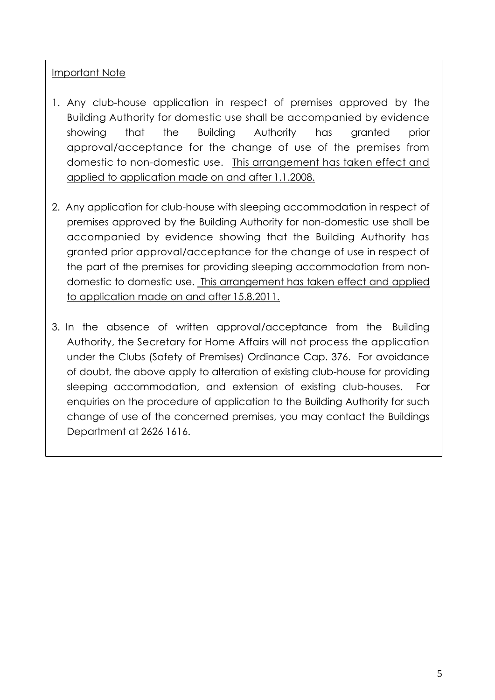#### Important Note

- 1. Any club-house application in respect of premises approved by the Building Authority for domestic use shall be accompanied by evidence showing that the Building Authority has granted prior approval/acceptance for the change of use of the premises from domestic to non-domestic use. This arrangement has taken effect and applied to application made on and after 1.1.2008.
- 2. Any application for club-house with sleeping accommodation in respect of premises approved by the Building Authority for non-domestic use shall be accompanied by evidence showing that the Building Authority has granted prior approval/acceptance for the change of use in respect of the part of the premises for providing sleeping accommodation from nondomestic to domestic use. This arrangement has taken effect and applied to application made on and after 15.8.2011.
- 3. In the absence of written approval/acceptance from the Building Authority, the Secretary for Home Affairs will not process the application under the Clubs (Safety of Premises) Ordinance Cap. 376. For avoidance of doubt, the above apply to alteration of existing club-house for providing sleeping accommodation, and extension of existing club-houses. For enquiries on the procedure of application to the Building Authority for such change of use of the concerned premises, you may contact the Buildings Department at 2626 1616.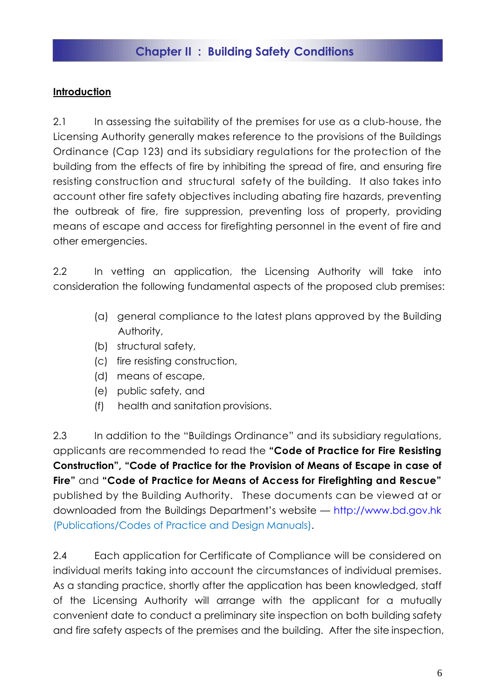# **Chapter II : Building Safety Conditions**

#### **Introduction**

2.1 In assessing the suitability of the premises for use as a club-house, the Licensing Authority generally makes reference to the provisions of the Buildings Ordinance (Cap 123) and its subsidiary regulations for the protection of the building from the effects of fire by inhibiting the spread of fire, and ensuring fire resisting construction and structural safety of the building. It also takes into account other fire safety objectives including abating fire hazards, preventing the outbreak of fire, fire suppression, preventing loss of property, providing means of escape and access for firefighting personnel in the event of fire and other emergencies.

2.2 In vetting an application, the Licensing Authority will take into consideration the following fundamental aspects of the proposed club premises:

- (a) general compliance to the latest plans approved by the Building Authority,
- (b) structural safety,
- (c) fire resisting construction,
- (d) means of escape,
- (e) public safety, and
- (f) health and sanitation provisions.

2.3 In addition to the "Buildings Ordinance" and its subsidiary regulations, applicants are recommended to read the **"Code of Practice for Fire Resisting Construction", "Code of Practice for the Provision of Means of Escape in case of Fire"** and **"Code of Practice for Means of Access for Firefighting and Rescue"** published by the Building Authority. These documents can be viewed at or downloaded from the Buildings Department's website — [http://www.bd.gov.hk](http://www.bd.gov.hk/) (Publications/Codes of Practice and Design Manuals).

2.4 Each application for Certificate of Compliance will be considered on individual merits taking into account the circumstances of individual premises. As a standing practice, shortly after the application has been knowledged, staff of the Licensing Authority will arrange with the applicant for a mutually convenient date to conduct a preliminary site inspection on both building safety and fire safety aspects of the premises and the building. After the site inspection,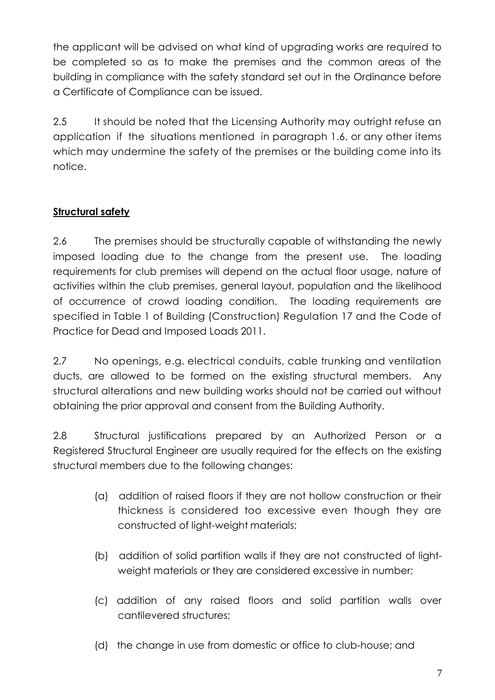the applicant will be advised on what kind of upgrading works are required to be completed so as to make the premises and the common areas of the building in compliance with the safety standard set out in the Ordinance before a Certificate of Compliance can be issued.

2.5 It should be noted that the Licensing Authority may outright refuse an application if the situations mentioned in paragraph 1.6, or any other items which may undermine the safety of the premises or the building come into its notice.

# **Structural safety**

2.6 The premises should be structurally capable of withstanding the newly imposed loading due to the change from the present use. The loading requirements for club premises will depend on the actual floor usage, nature of activities within the club premises, general layout, population and the likelihood of occurrence of crowd loading condition. The loading requirements are specified in Table 1 of Building (Construction) Regulation 17 and the Code of Practice for Dead and Imposed Loads 2011.

2.7 No openings, e.g. electrical conduits, cable trunking and ventilation ducts, are allowed to be formed on the existing structural members. Any structural alterations and new building works should not be carried out without obtaining the prior approval and consent from the Building Authority.

2.8 Structural justifications prepared by an Authorized Person or a Registered Structural Engineer are usually required for the effects on the existing structural members due to the following changes:

- (a) addition of raised floors if they are not hollow construction or their thickness is considered too excessive even though they are constructed of light-weight materials;
- (b) addition of solid partition walls if they are not constructed of lightweight materials or they are considered excessive in number;
- (c) addition of any raised floors and solid partition walls over cantilevered structures;
- (d) the change in use from domestic or office to club-house; and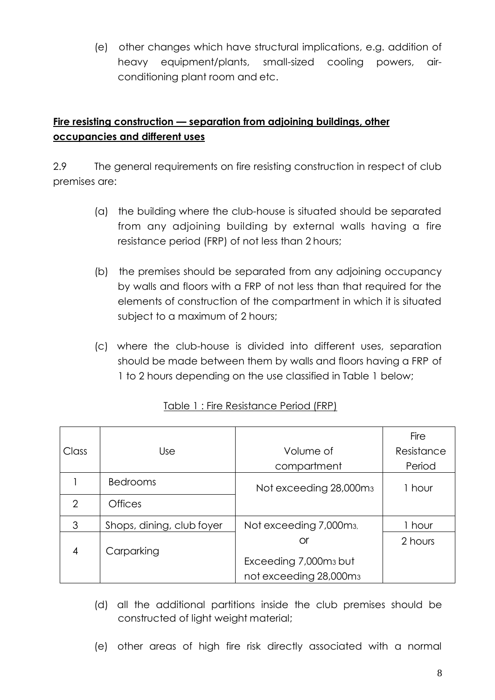(e) other changes which have structural implications, e.g. addition of heavy equipment/plants, small-sized cooling powers, airconditioning plant room and etc.

# **Fire resisting construction — separation from adjoining buildings, other occupancies and different uses**

2.9 The general requirements on fire resisting construction in respect of club premises are:

- (a) the building where the club-house is situated should be separated from any adjoining building by external walls having a fire resistance period (FRP) of not less than 2 hours;
- (b) the premises should be separated from any adjoining occupancy by walls and floors with a FRP of not less than that required for the elements of construction of the compartment in which it is situated subject to a maximum of 2 hours;
- (c) where the club-house is divided into different uses, separation should be made between them by walls and floors having a FRP of 1 to 2 hours depending on the use classified in Table 1 below;

|                |                           |                                     | Fire       |
|----------------|---------------------------|-------------------------------------|------------|
| Class          | Use                       | Volume of                           | Resistance |
|                |                           | compartment                         | Period     |
|                | <b>Bedrooms</b>           | Not exceeding 28,000m <sub>3</sub>  | 1 hour     |
| $\overline{2}$ | <b>Offices</b>            |                                     |            |
| 3              | Shops, dining, club foyer | Not exceeding 7,000m <sub>3</sub> , | 1 hour     |
|                |                           | Оr                                  | 2 hours    |
| 4              | Carparking                | Exceeding 7,000m <sub>3</sub> but   |            |
|                |                           |                                     |            |
|                |                           | not exceeding 28,000m <sub>3</sub>  |            |

# Table 1 : Fire Resistance Period (FRP)

- (d) all the additional partitions inside the club premises should be constructed of light weight material;
- (e) other areas of high fire risk directly associated with a normal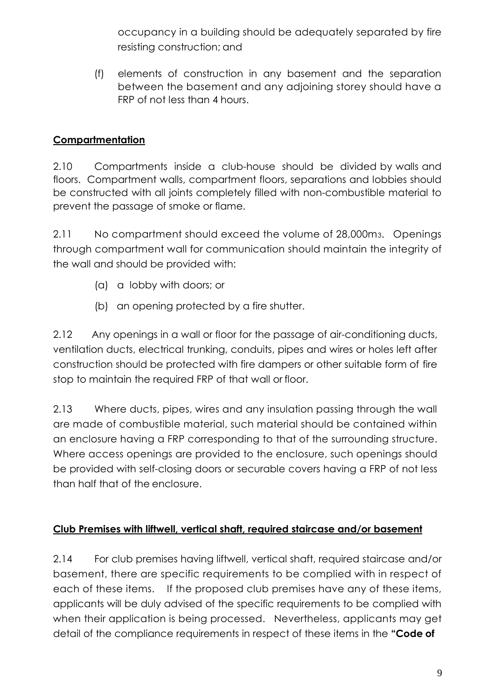occupancy in a building should be adequately separated by fire resisting construction; and

(f) elements of construction in any basement and the separation between the basement and any adjoining storey should have a FRP of not less than 4 hours.

# **Compartmentation**

2.10 Compartments inside a club-house should be divided by walls and floors. Compartment walls, compartment floors, separations and lobbies should be constructed with all joints completely filled with non-combustible material to prevent the passage of smoke or flame.

2.11 No compartment should exceed the volume of 28,000m3. Openings through compartment wall for communication should maintain the integrity of the wall and should be provided with:

- (a) a lobby with doors; or
- (b) an opening protected by a fire shutter.

2.12 Any openings in a wall or floor for the passage of air-conditioning ducts, ventilation ducts, electrical trunking, conduits, pipes and wires or holes left after construction should be protected with fire dampers or other suitable form of fire stop to maintain the required FRP of that wall or floor.

2.13 Where ducts, pipes, wires and any insulation passing through the wall are made of combustible material, such material should be contained within an enclosure having a FRP corresponding to that of the surrounding structure. Where access openings are provided to the enclosure, such openings should be provided with self-closing doors or securable covers having a FRP of not less than half that of the enclosure.

# **Club Premises with liftwell, vertical shaft, required staircase and/or basement**

2.14 For club premises having liftwell, vertical shaft, required staircase and/or basement, there are specific requirements to be complied with in respect of each of these items. If the proposed club premises have any of these items, applicants will be duly advised of the specific requirements to be complied with when their application is being processed. Nevertheless, applicants may get detail of the compliance requirements in respect of these items in the **"Code of**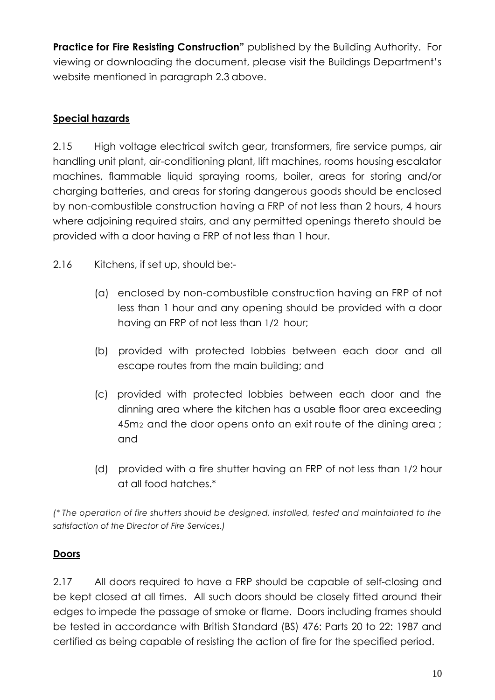**Practice for Fire Resisting Construction"** published by the Building Authority. For viewing or downloading the document, please visit the Buildings Department's website mentioned in paragraph 2.3 above.

# **Special hazards**

2.15 High voltage electrical switch gear, transformers, fire service pumps, air handling unit plant, air-conditioning plant, lift machines, rooms housing escalator machines, flammable liquid spraying rooms, boiler, areas for storing and/or charging batteries, and areas for storing dangerous goods should be enclosed by non-combustible construction having a FRP of not less than 2 hours, 4 hours where adjoining required stairs, and any permitted openings thereto should be provided with a door having a FRP of not less than 1 hour.

- 2.16 Kitchens, if set up, should be:-
	- (a) enclosed by non-combustible construction having an FRP of not less than 1 hour and any opening should be provided with a door having an FRP of not less than 1/2 hour;
	- (b) provided with protected lobbies between each door and all escape routes from the main building; and
	- (c) provided with protected lobbies between each door and the dinning area where the kitchen has a usable floor area exceeding 45m2 and the door opens onto an exit route of the dining area ; and
	- (d) provided with a fire shutter having an FRP of not less than 1/2 hour at all food hatches.\*

*(\* The operation of fire shutters should be designed, installed, tested and maintainted to the satisfaction of the Director of Fire Services.)*

# **Doors**

2.17 All doors required to have a FRP should be capable of self-closing and be kept closed at all times. All such doors should be closely fitted around their edges to impede the passage of smoke or flame. Doors including frames should be tested in accordance with British Standard (BS) 476: Parts 20 to 22: 1987 and certified as being capable of resisting the action of fire for the specified period.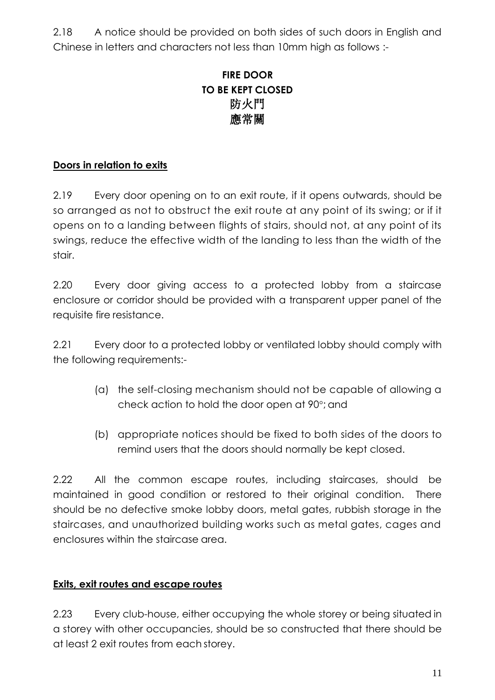2.18 A notice should be provided on both sides of such doors in English and Chinese in letters and characters not less than 10mm high as follows :-

# **FIRE DOOR TO BE KEPT CLOSED** 防火門 應常關

# **Doors in relation to exits**

2.19 Every door opening on to an exit route, if it opens outwards, should be so arranged as not to obstruct the exit route at any point of its swing; or if it opens on to a landing between flights of stairs, should not, at any point of its swings, reduce the effective width of the landing to less than the width of the stair.

2.20 Every door giving access to a protected lobby from a staircase enclosure or corridor should be provided with a transparent upper panel of the requisite fire resistance.

2.21 Every door to a protected lobby or ventilated lobby should comply with the following requirements:-

- (a) the self-closing mechanism should not be capable of allowing a check action to hold the door open at 90°; and
- (b) appropriate notices should be fixed to both sides of the doors to remind users that the doors should normally be kept closed.

2.22 All the common escape routes, including staircases, should be maintained in good condition or restored to their original condition. There should be no defective smoke lobby doors, metal gates, rubbish storage in the staircases, and unauthorized building works such as metal gates, cages and enclosures within the staircase area.

#### **Exits, exit routes and escape routes**

2.23 Every club-house, either occupying the whole storey or being situated in a storey with other occupancies, should be so constructed that there should be at least 2 exit routes from each storey.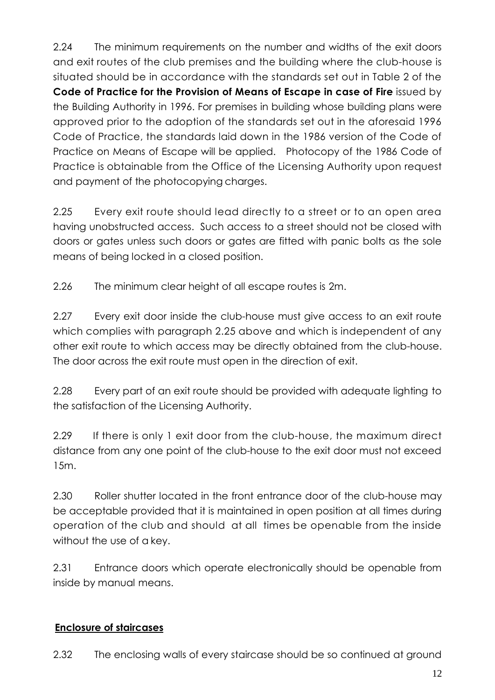2.24 The minimum requirements on the number and widths of the exit doors and exit routes of the club premises and the building where the club-house is situated should be in accordance with the standards set out in Table 2 of the **Code of Practice for the Provision of Means of Escape in case of Fire** issued by the Building Authority in 1996. For premises in building whose building plans were approved prior to the adoption of the standards set out in the aforesaid 1996 Code of Practice, the standards laid down in the 1986 version of the Code of Practice on Means of Escape will be applied. Photocopy of the 1986 Code of Practice is obtainable from the Office of the Licensing Authority upon request and payment of the photocopying charges.

2.25 Every exit route should lead directly to a street or to an open area having unobstructed access. Such access to a street should not be closed with doors or gates unless such doors or gates are fitted with panic bolts as the sole means of being locked in a closed position.

2.26 The minimum clear height of all escape routes is 2m.

2.27 Every exit door inside the club-house must give access to an exit route which complies with paragraph 2.25 above and which is independent of any other exit route to which access may be directly obtained from the club-house. The door across the exit route must open in the direction of exit.

2.28 Every part of an exit route should be provided with adequate lighting to the satisfaction of the Licensing Authority.

2.29 If there is only 1 exit door from the club-house, the maximum direct distance from any one point of the club-house to the exit door must not exceed 15m.

2.30 Roller shutter located in the front entrance door of the club-house may be acceptable provided that it is maintained in open position at all times during operation of the club and should at all times be openable from the inside without the use of a key.

2.31 Entrance doors which operate electronically should be openable from inside by manual means.

# **Enclosure of staircases**

2.32 The enclosing walls of every staircase should be so continued at ground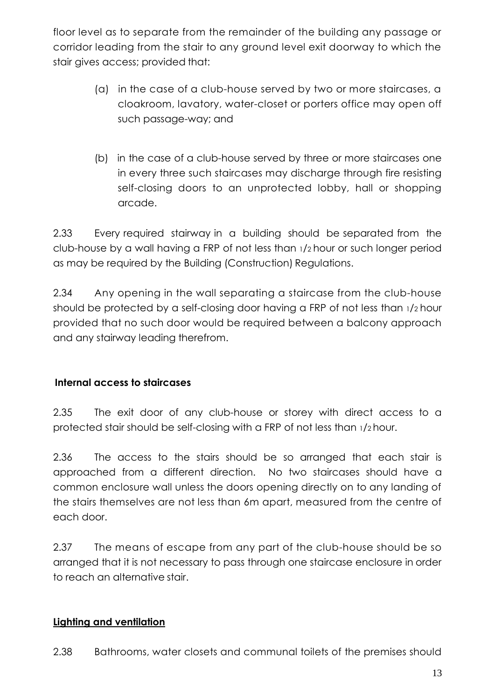floor level as to separate from the remainder of the building any passage or corridor leading from the stair to any ground level exit doorway to which the stair gives access; provided that:

- (a) in the case of a club-house served by two or more staircases, a cloakroom, lavatory, water-closet or porters office may open off such passage-way; and
- (b) in the case of a club-house served by three or more staircases one in every three such staircases may discharge through fire resisting self-closing doors to an unprotected lobby, hall or shopping arcade.

2.33 Every required stairway in a building should be separated from the club-house by a wall having a FRP of not less than <sup>1</sup>/<sup>2</sup> hour or such longer period as may be required by the Building (Construction) Regulations.

2.34 Any opening in the wall separating a staircase from the club-house should be protected by a self-closing door having a FRP of not less than <sup>1</sup>/<sup>2</sup> hour provided that no such door would be required between a balcony approach and any stairway leading therefrom.

# **Internal access to staircases**

2.35 The exit door of any club-house or storey with direct access to a protected stair should be self-closing with a FRP of not less than <sup>1</sup>/<sup>2</sup> hour.

2.36 The access to the stairs should be so arranged that each stair is approached from a different direction. No two staircases should have a common enclosure wall unless the doors opening directly on to any landing of the stairs themselves are not less than 6m apart, measured from the centre of each door.

2.37 The means of escape from any part of the club-house should be so arranged that it is not necessary to pass through one staircase enclosure in order to reach an alternative stair.

# **Lighting and ventilation**

2.38 Bathrooms, water closets and communal toilets of the premises should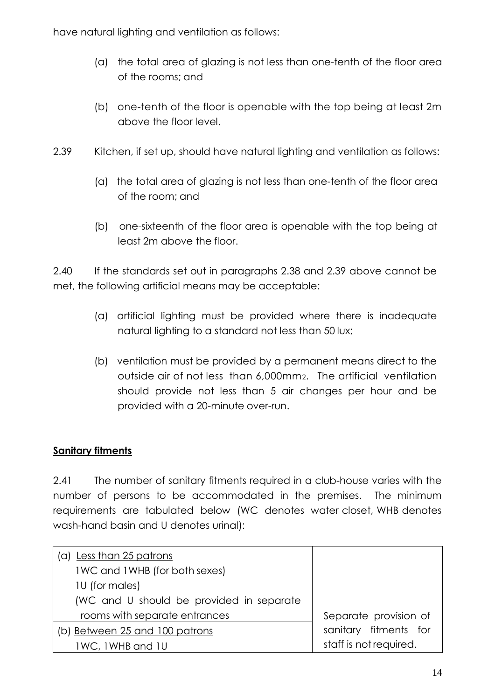have natural lighting and ventilation as follows:

- (a) the total area of glazing is not less than one-tenth of the floor area of the rooms; and
- (b) one-tenth of the floor is openable with the top being at least 2m above the floor level.
- 2.39 Kitchen, if set up, should have natural lighting and ventilation as follows:
	- (a) the total area of glazing is not less than one-tenth of the floor area of the room; and
	- (b) one-sixteenth of the floor area is openable with the top being at least 2m above the floor.

2.40 If the standards set out in paragraphs 2.38 and 2.39 above cannot be met, the following artificial means may be acceptable:

- (a) artificial lighting must be provided where there is inadequate natural lighting to a standard not less than 50 lux;
- (b) ventilation must be provided by a permanent means direct to the outside air of not less than 6,000mm2. The artificial ventilation should provide not less than 5 air changes per hour and be provided with a 20-minute over-run.

# **Sanitary fitments**

2.41 The number of sanitary fitments required in a club-house varies with the number of persons to be accommodated in the premises. The minimum requirements are tabulated below (WC denotes water closet, WHB denotes wash-hand basin and U denotes urinal):

| (a) Less than 25 patrons                 |                        |
|------------------------------------------|------------------------|
| IWC and IWHB (for both sexes)            |                        |
| 10 (for males)                           |                        |
| (WC and U should be provided in separate |                        |
| rooms with separate entrances            | Separate provision of  |
| (b) Between 25 and 100 patrons           | sanitary fitments for  |
| 1WC, 1WHB and 1U                         | staff is not required. |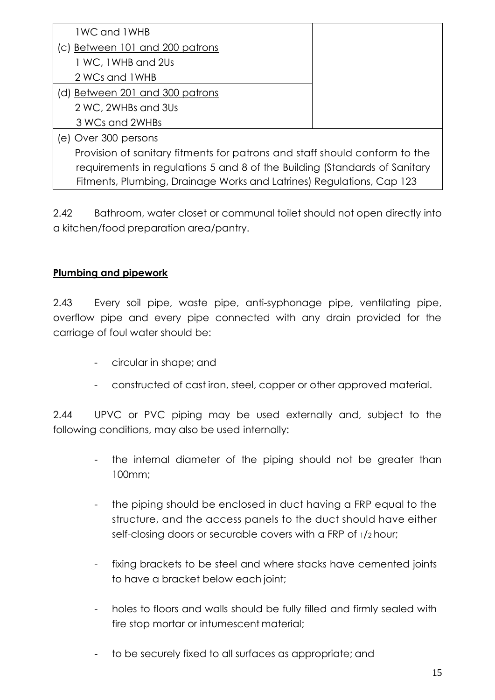| <b>1WC and 1WHB</b>                                                        |  |  |  |  |
|----------------------------------------------------------------------------|--|--|--|--|
| (c) Between 101 and 200 patrons                                            |  |  |  |  |
| 1 WC, 1WHB and 2Us                                                         |  |  |  |  |
| 2 WCs and 1 WHB                                                            |  |  |  |  |
| (d) Between 201 and 300 patrons                                            |  |  |  |  |
| 2 WC, 2WHBs and 3Us                                                        |  |  |  |  |
| 3 WCs and 2WHBs                                                            |  |  |  |  |
| (e) Over 300 persons                                                       |  |  |  |  |
| Provision of sanitary fitments for patrons and staff should conform to the |  |  |  |  |
| requirements in regulations 5 and 8 of the Building (Standards of Sanitary |  |  |  |  |
| Fitments, Plumbing, Drainage Works and Latrines) Regulations, Cap 123      |  |  |  |  |

2.42 Bathroom, water closet or communal toilet should not open directly into a kitchen/food preparation area/pantry.

# **Plumbing and pipework**

2.43 Every soil pipe, waste pipe, anti-syphonage pipe, ventilating pipe, overflow pipe and every pipe connected with any drain provided for the carriage of foul water should be:

- circular in shape; and
- constructed of cast iron, steel, copper or other approved material.

2.44 UPVC or PVC piping may be used externally and, subject to the following conditions, may also be used internally:

- the internal diameter of the piping should not be greater than 100mm;
- the piping should be enclosed in duct having a FRP equal to the structure, and the access panels to the duct should have either self-closing doors or securable covers with a FRP of <sup>1</sup>/<sup>2</sup> hour;
- fixing brackets to be steel and where stacks have cemented joints to have a bracket below each joint;
- holes to floors and walls should be fully filled and firmly sealed with fire stop mortar or intumescent material;
- to be securely fixed to all surfaces as appropriate; and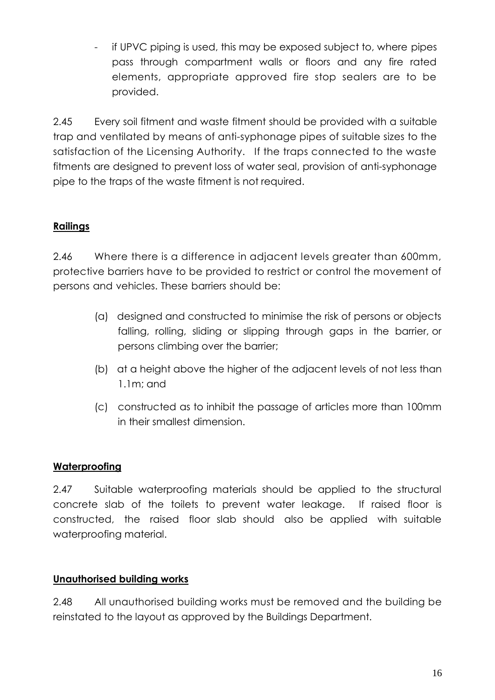if UPVC piping is used, this may be exposed subject to, where pipes pass through compartment walls or floors and any fire rated elements, appropriate approved fire stop sealers are to be provided.

2.45 Every soil fitment and waste fitment should be provided with a suitable trap and ventilated by means of anti-syphonage pipes of suitable sizes to the satisfaction of the Licensing Authority. If the traps connected to the waste fitments are designed to prevent loss of water seal, provision of anti-syphonage pipe to the traps of the waste fitment is not required.

# **Railings**

2.46 Where there is a difference in adjacent levels greater than 600mm, protective barriers have to be provided to restrict or control the movement of persons and vehicles. These barriers should be:

- (a) designed and constructed to minimise the risk of persons or objects falling, rolling, sliding or slipping through gaps in the barrier, or persons climbing over the barrier;
- (b) at a height above the higher of the adjacent levels of not less than 1.1m; and
- (c) constructed as to inhibit the passage of articles more than 100mm in their smallest dimension.

# **Waterproofing**

2.47 Suitable waterproofing materials should be applied to the structural concrete slab of the toilets to prevent water leakage. If raised floor is constructed, the raised floor slab should also be applied with suitable waterproofing material.

#### **Unauthorised building works**

2.48 All unauthorised building works must be removed and the building be reinstated to the layout as approved by the Buildings Department.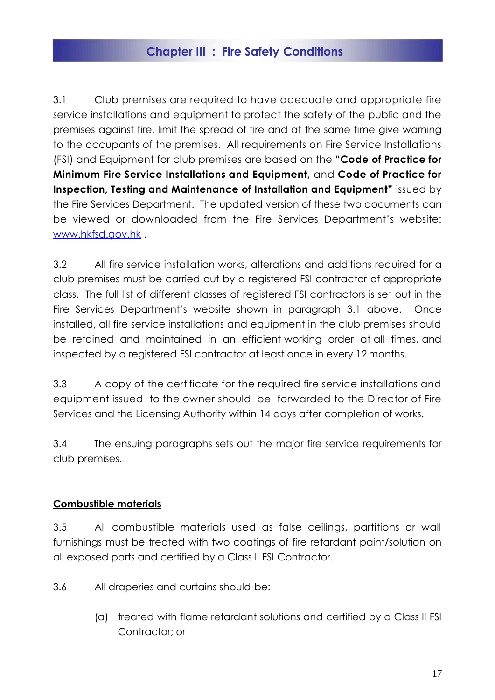# **Chapter III : Fire Safety Conditions**

3.1 Club premises are required to have adequate and appropriate fire service installations and equipment to protect the safety of the public and the premises against fire, limit the spread of fire and at the same time give warning to the occupants of the premises. All requirements on Fire Service Installations (FSI) and Equipment for club premises are based on the **"Code of Practice for Minimum Fire Service Installations and Equipment,** and **Code of Practice for Inspection, Testing and Maintenance of Installation and Equipment"** issued by the Fire Services Department. The updated version of these two documents can be viewed or downloaded from the Fire Services Department's website: [www.hkfsd.gov.hk](http://www.hkfsd.gov.hk/) .

3.2 All fire service installation works, alterations and additions required for a club premises must be carried out by a registered FSI contractor of appropriate class. The full list of different classes of registered FSI contractors is set out in the Fire Services Department's website shown in paragraph 3.1 above. Once installed, all fire service installations and equipment in the club premises should be retained and maintained in an efficient working order at all times, and inspected by a registered FSI contractor at least once in every 12 months.

3.3 A copy of the certificate for the required fire service installations and equipment issued to the owner should be forwarded to the Director of Fire Services and the Licensing Authority within 14 days after completion of works.

3.4 The ensuing paragraphs sets out the major fire service requirements for club premises.

#### **Combustible materials**

3.5 All combustible materials used as false ceilings, partitions or wall furnishings must be treated with two coatings of fire retardant paint/solution on all exposed parts and certified by a Class II FSI Contractor.

- 3.6 All draperies and curtains should be:
	- (a) treated with flame retardant solutions and certified by a Class II FSI Contractor; or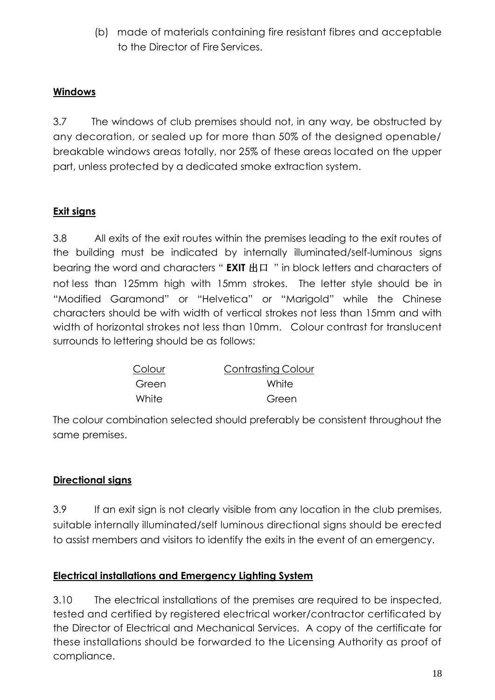(b) made of materials containing fire resistant fibres and acceptable to the Director of Fire Services.

#### **Windows**

3.7 The windows of club premises should not, in any way, be obstructed by any decoration, or sealed up for more than 50% of the designed openable/ breakable windows areas totally, nor 25% of these areas located on the upper part, unless protected by a dedicated smoke extraction system.

# **Exit signs**

3.8 All exits of the exit routes within the premises leading to the exit routes of the building must be indicated by internally illuminated/self-luminous signs bearing the word and characters " **EXIT** 出口 " in block letters and characters of not less than 125mm high with 15mm strokes. The letter style should be in "Modified Garamond" or "Helvetica" or "Marigold" while the Chinese characters should be with width of vertical strokes not less than 15mm and with width of horizontal strokes not less than 10mm. Colour contrast for translucent surrounds to lettering should be as follows:

| Colour | <b>Contrasting Colour</b> |
|--------|---------------------------|
| Green  | White                     |
| White  | Green                     |

The colour combination selected should preferably be consistent throughout the same premises.

#### **Directional signs**

3.9 If an exit sign is not clearly visible from any location in the club premises, suitable internally illuminated/self luminous directional signs should be erected to assist members and visitors to identify the exits in the event of an emergency.

#### **Electrical installations and Emergency Lighting System**

3.10 The electrical installations of the premises are required to be inspected, tested and certified by registered electrical worker/contractor certificated by the Director of Electrical and Mechanical Services. A copy of the certificate for these installations should be forwarded to the Licensing Authority as proof of compliance.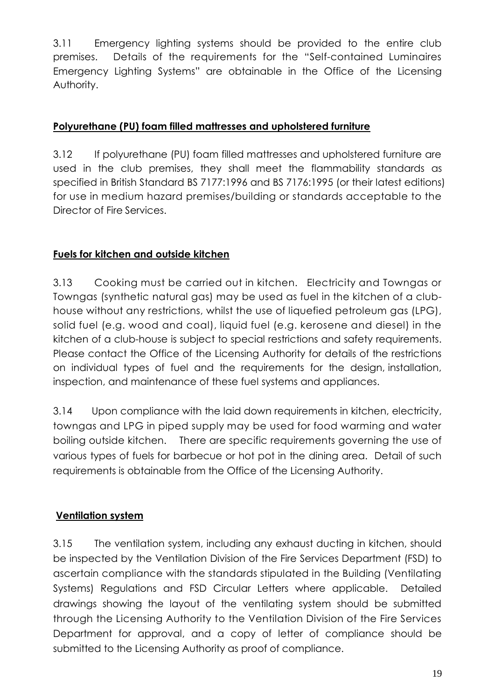3.11 Emergency lighting systems should be provided to the entire club premises. Details of the requirements for the "Self-contained Luminaires Emergency Lighting Systems" are obtainable in the Office of the Licensing Authority.

#### **Polyurethane (PU) foam filled mattresses and upholstered furniture**

3.12 If polyurethane (PU) foam filled mattresses and upholstered furniture are used in the club premises, they shall meet the flammability standards as specified in British Standard BS 7177:1996 and BS 7176:1995 (or their latest editions) for use in medium hazard premises/building or standards acceptable to the Director of Fire Services.

# **Fuels for kitchen and outside kitchen**

3.13 Cooking must be carried out in kitchen. Electricity and Towngas or Towngas (synthetic natural gas) may be used as fuel in the kitchen of a clubhouse without any restrictions, whilst the use of liquefied petroleum gas (LPG), solid fuel (e.g. wood and coal), liquid fuel (e.g. kerosene and diesel) in the kitchen of a club-house is subject to special restrictions and safety requirements. Please contact the Office of the Licensing Authority for details of the restrictions on individual types of fuel and the requirements for the design, installation, inspection, and maintenance of these fuel systems and appliances.

3.14 Upon compliance with the laid down requirements in kitchen, electricity, towngas and LPG in piped supply may be used for food warming and water boiling outside kitchen. There are specific requirements governing the use of various types of fuels for barbecue or hot pot in the dining area. Detail of such requirements is obtainable from the Office of the Licensing Authority.

# **Ventilation system**

3.15 The ventilation system, including any exhaust ducting in kitchen, should be inspected by the Ventilation Division of the Fire Services Department (FSD) to ascertain compliance with the standards stipulated in the Building (Ventilating Systems) Regulations and FSD Circular Letters where applicable. Detailed drawings showing the layout of the ventilating system should be submitted through the Licensing Authority to the Ventilation Division of the Fire Services Department for approval, and a copy of letter of compliance should be submitted to the Licensing Authority as proof of compliance.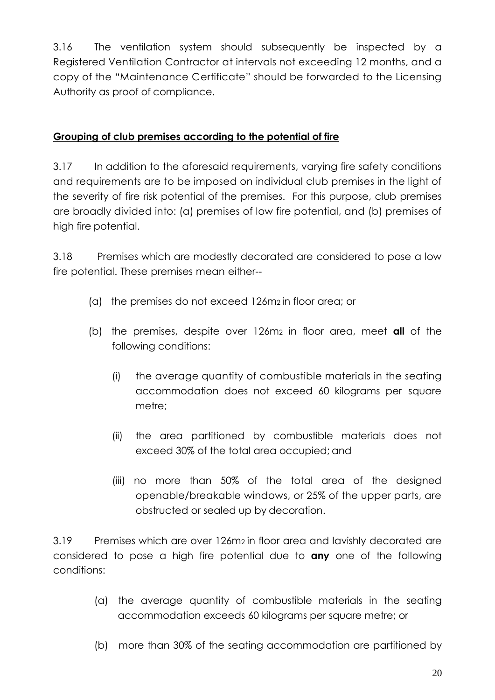3.16 The ventilation system should subsequently be inspected by a Registered Ventilation Contractor at intervals not exceeding 12 months, and a copy of the "Maintenance Certificate" should be forwarded to the Licensing Authority as proof of compliance.

#### **Grouping of club premises according to the potential of fire**

3.17 In addition to the aforesaid requirements, varying fire safety conditions and requirements are to be imposed on individual club premises in the light of the severity of fire risk potential of the premises. For this purpose, club premises are broadly divided into: (a) premises of low fire potential, and (b) premises of high fire potential.

3.18 Premises which are modestly decorated are considered to pose a low fire potential. These premises mean either--

- (a) the premises do not exceed 126m<sup>2</sup> in floor area; or
- (b) the premises, despite over 126m2 in floor area, meet **all** of the following conditions:
	- (i) the average quantity of combustible materials in the seating accommodation does not exceed 60 kilograms per square metre;
	- (ii) the area partitioned by combustible materials does not exceed 30% of the total area occupied; and
	- (iii) no more than 50% of the total area of the designed openable/breakable windows, or 25% of the upper parts, are obstructed or sealed up by decoration.

3.19 Premises which are over 126m<sup>2</sup> in floor area and lavishly decorated are considered to pose a high fire potential due to **any** one of the following conditions:

- (a) the average quantity of combustible materials in the seating accommodation exceeds 60 kilograms per square metre; or
- (b) more than 30% of the seating accommodation are partitioned by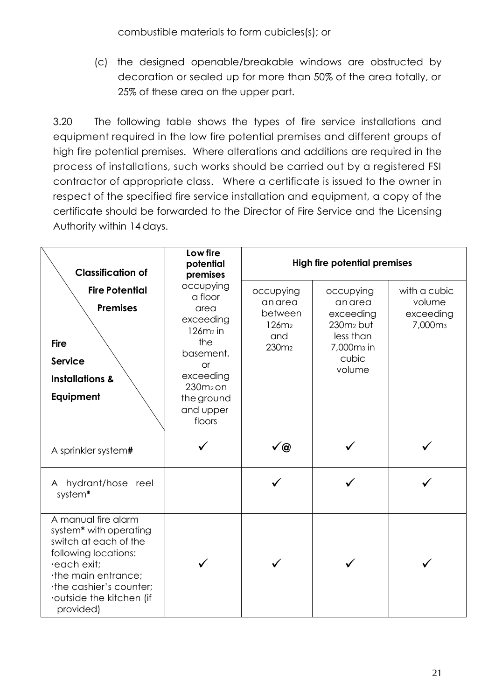combustible materials to form cubicles(s); or

(c) the designed openable/breakable windows are obstructed by decoration or sealed up for more than 50% of the area totally, or 25% of these area on the upper part.

3.20 The following table shows the types of fire service installations and equipment required in the low fire potential premises and different groups of high fire potential premises. Where alterations and additions are required in the process of installations, such works should be carried out by a registered FSI contractor of appropriate class. Where a certificate is issued to the owner in respect of the specified fire service installation and equipment, a copy of the certificate should be forwarded to the Director of Fire Service and the Licensing Authority within 14 days.

| <b>Classification of</b>                                                                                                                                                                              | Low fire<br>potential<br>premises                                                                                                                        |                                                                                            | <b>High fire potential premises</b>                                                                       |                                                            |  |
|-------------------------------------------------------------------------------------------------------------------------------------------------------------------------------------------------------|----------------------------------------------------------------------------------------------------------------------------------------------------------|--------------------------------------------------------------------------------------------|-----------------------------------------------------------------------------------------------------------|------------------------------------------------------------|--|
| <b>Fire Potential</b><br><b>Premises</b><br><b>Fire</b><br><b>Service</b><br><b>Installations &amp;</b><br>Equipment                                                                                  | occupying<br>a floor<br>area<br>exceeding<br>$126m2$ in<br>the<br>basement,<br><b>or</b><br>exceeding<br>$230m2$ on<br>the ground<br>and upper<br>floors | occupying<br>anarea<br>between<br>126m <sub>2</sub><br>and<br>230 <sub>m<sub>2</sub></sub> | occupying<br>anarea<br>exceeding<br>$230m2$ but<br>less than<br>7,000m <sub>3</sub> in<br>cubic<br>volume | with a cubic<br>volume<br>exceeding<br>7,000m <sub>3</sub> |  |
| A sprinkler system#                                                                                                                                                                                   |                                                                                                                                                          | ✔@                                                                                         |                                                                                                           |                                                            |  |
| hydrant/hose reel<br>A<br>system*                                                                                                                                                                     |                                                                                                                                                          |                                                                                            |                                                                                                           |                                                            |  |
| A manual fire alarm<br>system* with operating<br>switch at each of the<br>following locations:<br>·each exit;<br>the main entrance;<br>the cashier's counter;<br>outside the kitchen (if<br>provided) |                                                                                                                                                          |                                                                                            |                                                                                                           |                                                            |  |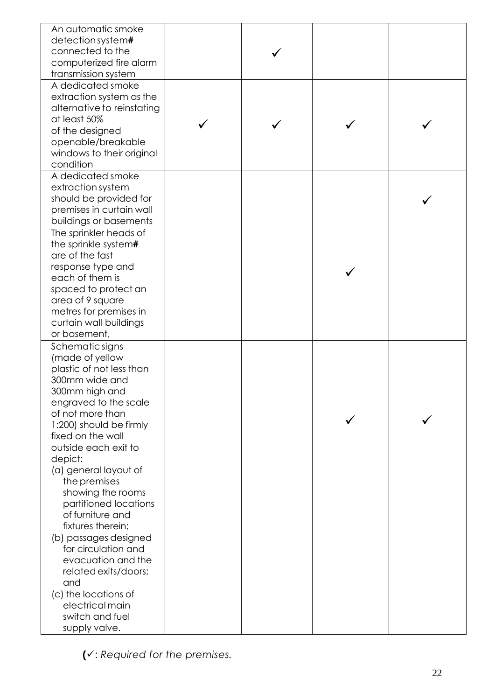| A dedicated smoke<br>extraction system as the<br>alternative to reinstating<br>at least 50%<br>of the designed<br>openable/breakable<br>windows to their original<br>condition<br>A dedicated smoke<br>extraction system<br>should be provided for<br>premises in curtain wall<br>buildings or basements<br>The sprinkler heads of<br>the sprinkle system#<br>are of the fast<br>response type and<br>each of them is<br>spaced to protect an<br>area of 9 square<br>metres for premises in<br>curtain wall buildings<br>or basement,<br>Schematic signs<br>(made of yellow<br>plastic of not less than<br>300mm wide and |  |
|---------------------------------------------------------------------------------------------------------------------------------------------------------------------------------------------------------------------------------------------------------------------------------------------------------------------------------------------------------------------------------------------------------------------------------------------------------------------------------------------------------------------------------------------------------------------------------------------------------------------------|--|
|                                                                                                                                                                                                                                                                                                                                                                                                                                                                                                                                                                                                                           |  |
|                                                                                                                                                                                                                                                                                                                                                                                                                                                                                                                                                                                                                           |  |
|                                                                                                                                                                                                                                                                                                                                                                                                                                                                                                                                                                                                                           |  |
| 300mm high and<br>engraved to the scale<br>of not more than<br>1:200) should be firmly<br>fixed on the wall<br>outside each exit to<br>depict:<br>(a) general layout of<br>the premises<br>showing the rooms<br>partitioned locations<br>of furniture and<br>fixtures therein;<br>(b) passages designed<br>for circulation and<br>evacuation and the<br>related exits/doors;<br>and<br>(c) the locations of<br>electrical main<br>switch and fuel                                                                                                                                                                         |  |

**(** : *Required for the premises.*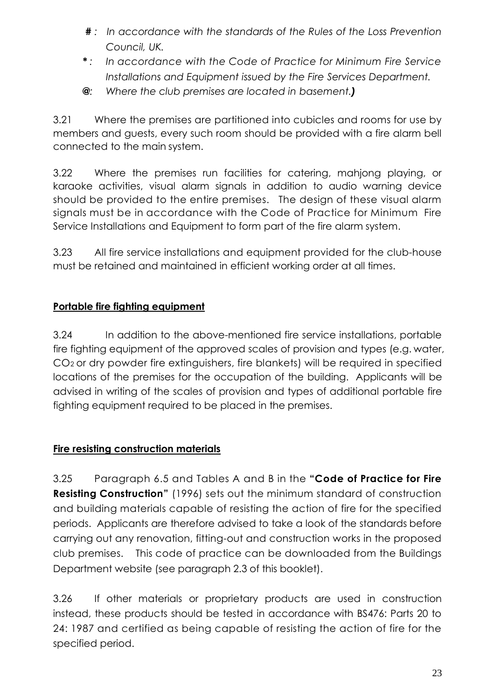- *# : In accordance with the standards of the Rules of the Loss Prevention Council, UK.*
- *\* : In accordance with the Code of Practice for Minimum Fire Service Installations and Equipment issued by the Fire Services Department.*
- **@***: Where the club premises are located in basement.)*

3.21 Where the premises are partitioned into cubicles and rooms for use by members and guests, every such room should be provided with a fire alarm bell connected to the main system.

3.22 Where the premises run facilities for catering, mahjong playing, or karaoke activities, visual alarm signals in addition to audio warning device should be provided to the entire premises. The design of these visual alarm signals must be in accordance with the Code of Practice for Minimum Fire Service Installations and Equipment to form part of the fire alarm system.

3.23 All fire service installations and equipment provided for the club-house must be retained and maintained in efficient working order at all times.

# **Portable fire fighting equipment**

3.24 In addition to the above-mentioned fire service installations, portable fire fighting equipment of the approved scales of provision and types (e.g. water, CO<sup>2</sup> or dry powder fire extinguishers, fire blankets) will be required in specified locations of the premises for the occupation of the building. Applicants will be advised in writing of the scales of provision and types of additional portable fire fighting equipment required to be placed in the premises.

# **Fire resisting construction materials**

3.25 Paragraph 6.5 and Tables A and B in the **"Code of Practice for Fire Resisting Construction"** (1996) sets out the minimum standard of construction and building materials capable of resisting the action of fire for the specified periods. Applicants are therefore advised to take a look of the standards before carrying out any renovation, fitting-out and construction works in the proposed club premises. This code of practice can be downloaded from the Buildings Department website (see paragraph 2.3 of this booklet).

3.26 If other materials or proprietary products are used in construction instead, these products should be tested in accordance with BS476: Parts 20 to 24: 1987 and certified as being capable of resisting the action of fire for the specified period.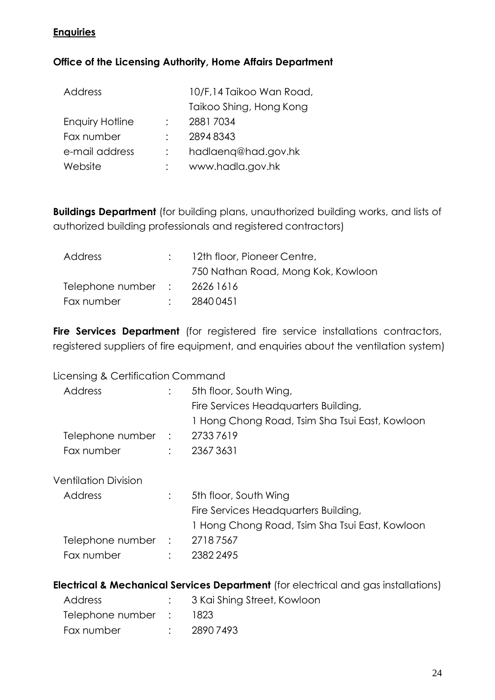#### **Enquiries**

#### **Office of the Licensing Authority, Home Affairs Department**

| <b>Address</b>         | 10/F,14 Taikoo Wan Road, |
|------------------------|--------------------------|
|                        | Taikoo Shing, Hong Kong  |
| <b>Enquiry Hotline</b> | 28817034                 |
| Fax number             | 28948343                 |
| e-mail address         | hadlaenq@had.gov.hk      |
| Website                | www.hadla.gov.hk         |

**Buildings Department** (for building plans, unauthorized building works, and lists of authorized building professionals and registered contractors)

| Address                           | $:$ 12th floor, Pioneer Centre,    |
|-----------------------------------|------------------------------------|
|                                   | 750 Nathan Road, Mong Kok, Kowloon |
| Telephone number $\;$ : 2626 1616 |                                    |
| Fax number                        | 28400451                           |

Fire Services Department (for registered fire service installations contractors, registered suppliers of fire equipment, and enquiries about the ventilation system)

Licensing & Certification Command

| Address                     |                | 5th floor, South Wing,                         |
|-----------------------------|----------------|------------------------------------------------|
|                             |                | Fire Services Headquarters Building,           |
|                             |                | 1 Hong Chong Road, Tsim Sha Tsui East, Kowloon |
| Telephone number :          |                | 27337619                                       |
| Fax number                  | $\ddot{\cdot}$ | 23673631                                       |
| <b>Ventilation Division</b> |                |                                                |
| <b>Address</b>              |                | 5th floor, South Wing                          |
|                             |                | Fire Services Headquarters Building,           |
|                             |                | 1 Hong Chong Road, Tsim Sha Tsui East, Kowloon |
| Telephone number :          |                | 27187567                                       |
| Fax number                  |                | 2382 2495                                      |
|                             |                |                                                |

**Electrical & Mechanical Services Department** (for electrical and gas installations)

| Address            | : 3 Kai Shing Street, Kowloon |
|--------------------|-------------------------------|
| Telephone number : | - 1823                        |
| Fax number         | : 28907493                    |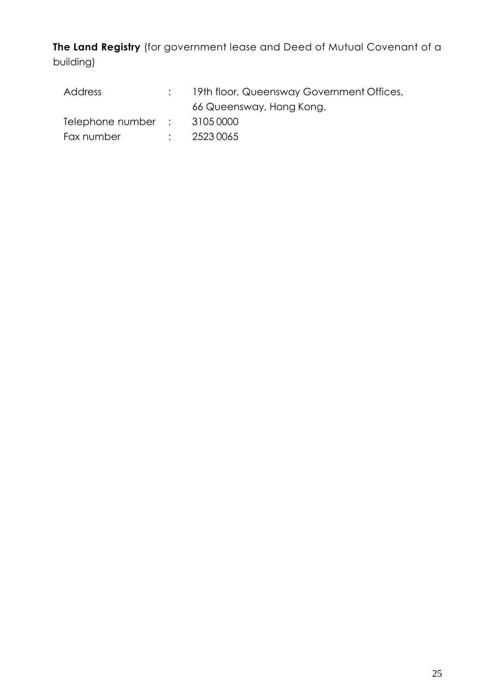**The Land Registry** (for government lease and Deed of Mutual Covenant of a building)

| Address                           | : 19th floor, Queensway Government Offices, |
|-----------------------------------|---------------------------------------------|
|                                   | 66 Queensway, Hong Kong.                    |
| Telephone number $\;$ : 3105 0000 |                                             |
| Fax number                        | $\frac{1}{2}$ 2523 0065                     |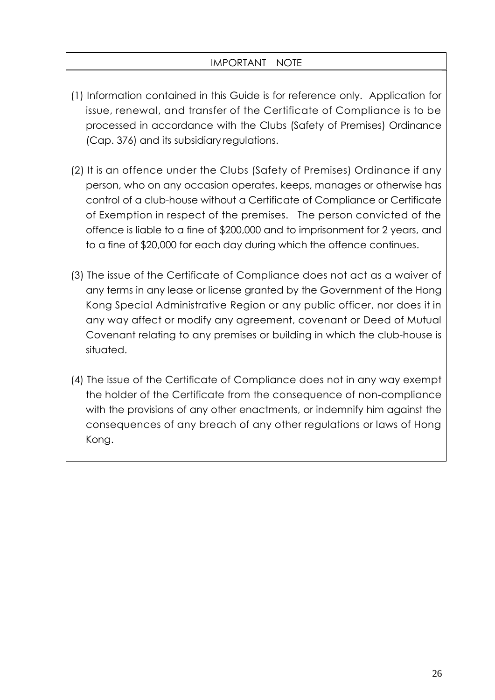#### IMPORTANT NOTE

- (1) Information contained in this Guide is for reference only. Application for issue, renewal, and transfer of the Certificate of Compliance is to be processed in accordance with the Clubs (Safety of Premises) Ordinance (Cap. 376) and its subsidiary regulations.
- (2) It is an offence under the Clubs (Safety of Premises) Ordinance if any person, who on any occasion operates, keeps, manages or otherwise has control of a club-house without a Certificate of Compliance or Certificate of Exemption in respect of the premises. The person convicted of the offence is liable to a fine of \$200,000 and to imprisonment for 2 years, and to a fine of \$20,000 for each day during which the offence continues.
- (3) The issue of the Certificate of Compliance does not act as a waiver of any terms in any lease or license granted by the Government of the Hong Kong Special Administrative Region or any public officer, nor does it in any way affect or modify any agreement, covenant or Deed of Mutual Covenant relating to any premises or building in which the club-house is situated.
- (4) The issue of the Certificate of Compliance does not in any way exempt the holder of the Certificate from the consequence of non-compliance with the provisions of any other enactments, or indemnify him against the consequences of any breach of any other regulations or laws of Hong Kong.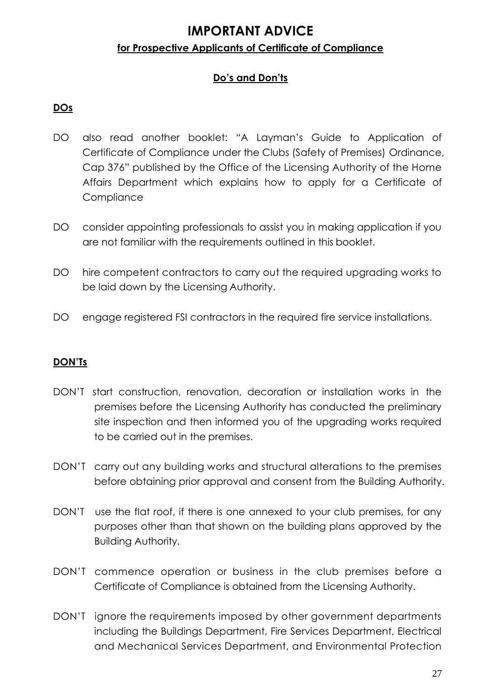# **IMPORTANT ADVICE for Prospective Applicants of Certificate of Compliance**

# **Do's and Don'ts**

#### **DOs**

- DO also read another booklet: "A Layman's Guide to Application of Certificate of Compliance under the Clubs (Safety of Premises) Ordinance, Cap 376" published by the Office of the Licensing Authority of the Home Affairs Department which explains how to apply for a Certificate of **Compliance**
- DO consider appointing professionals to assist you in making application if you are not familiar with the requirements outlined in this booklet.
- DO hire competent contractors to carry out the required upgrading works to be laid down by the Licensing Authority.
- DO engage registered FSI contractors in the required fire service installations.

#### **DON'Ts**

- DON'T start construction, renovation, decoration or installation works in the premises before the Licensing Authority has conducted the preliminary site inspection and then informed you of the upgrading works required to be carried out in the premises.
- DON'T carry out any building works and structural alterations to the premises before obtaining prior approval and consent from the Building Authority.
- DON'T use the flat roof, if there is one annexed to your club premises, for any purposes other than that shown on the building plans approved by the Building Authority.
- DON'T commence operation or business in the club premises before a Certificate of Compliance is obtained from the Licensing Authority.
- DON'T ignore the requirements imposed by other government departments including the Buildings Department, Fire Services Department, Electrical and Mechanical Services Department, and Environmental Protection